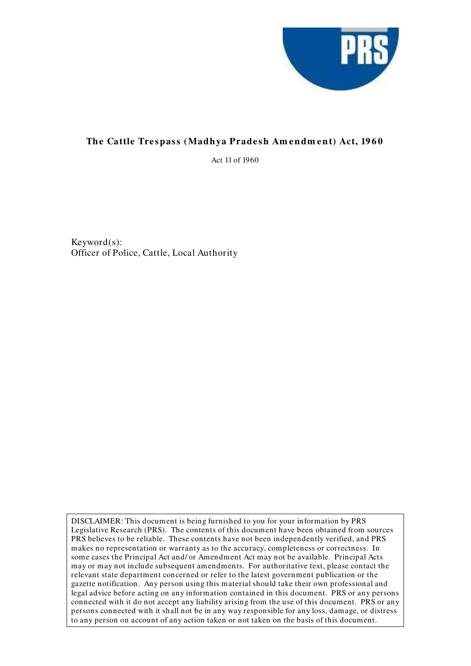

## The Cattle Trespass (Madhya Pradesh Amendment) Act, 1960

Act 11 of 1960

Keyword(s): Officer of Police, Cattle, Local Authority

DISCLAIMER: This document is being furnished to you for your information by PRS Legislative Research (PRS). The contents of this document have been obtained from sources PRS believes to be reliable. These contents have not been independently verified, and PRS makes no representation or warranty as to the accuracy, completeness or correctness. In some cases the Principal Act and/ or Amendment Act may not be available. Principal Acts may or may not include subsequent amendments. For authoritative text, please contact the relevant state department concerned or refer to the latest government publication or the gazette notification. Any person using this material should take their own professional and legal advice before acting on any information contained in this document. PRS or any persons connected with it do not accept any liability arising from the use of this document. PRS or any persons connected with it shall not be in any way responsible for any loss, damage, or distress to any person on account of any action taken or not taken on the basis of this document.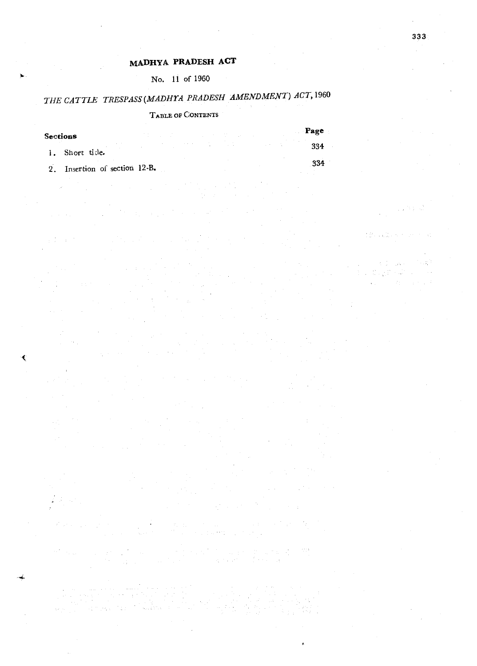# MADHYA PRADESH ACT

### No. 11 of 1960

# THE CATTLE TRESPASS (MADHYA PRADESH AMENDMENT) ACT, 1960

### TABLE OF CONTENTS

| Sections |                               |  |  |  |  |  |  | Page |     |
|----------|-------------------------------|--|--|--|--|--|--|------|-----|
|          | 1. Short title.               |  |  |  |  |  |  |      | 334 |
|          | 2. Insertion of section 12-B. |  |  |  |  |  |  |      | 334 |
|          |                               |  |  |  |  |  |  |      |     |

 $\epsilon$  ,  $\zeta$  ) is de

 $\gamma_{1,1}^{1,1,1}$ 

V)